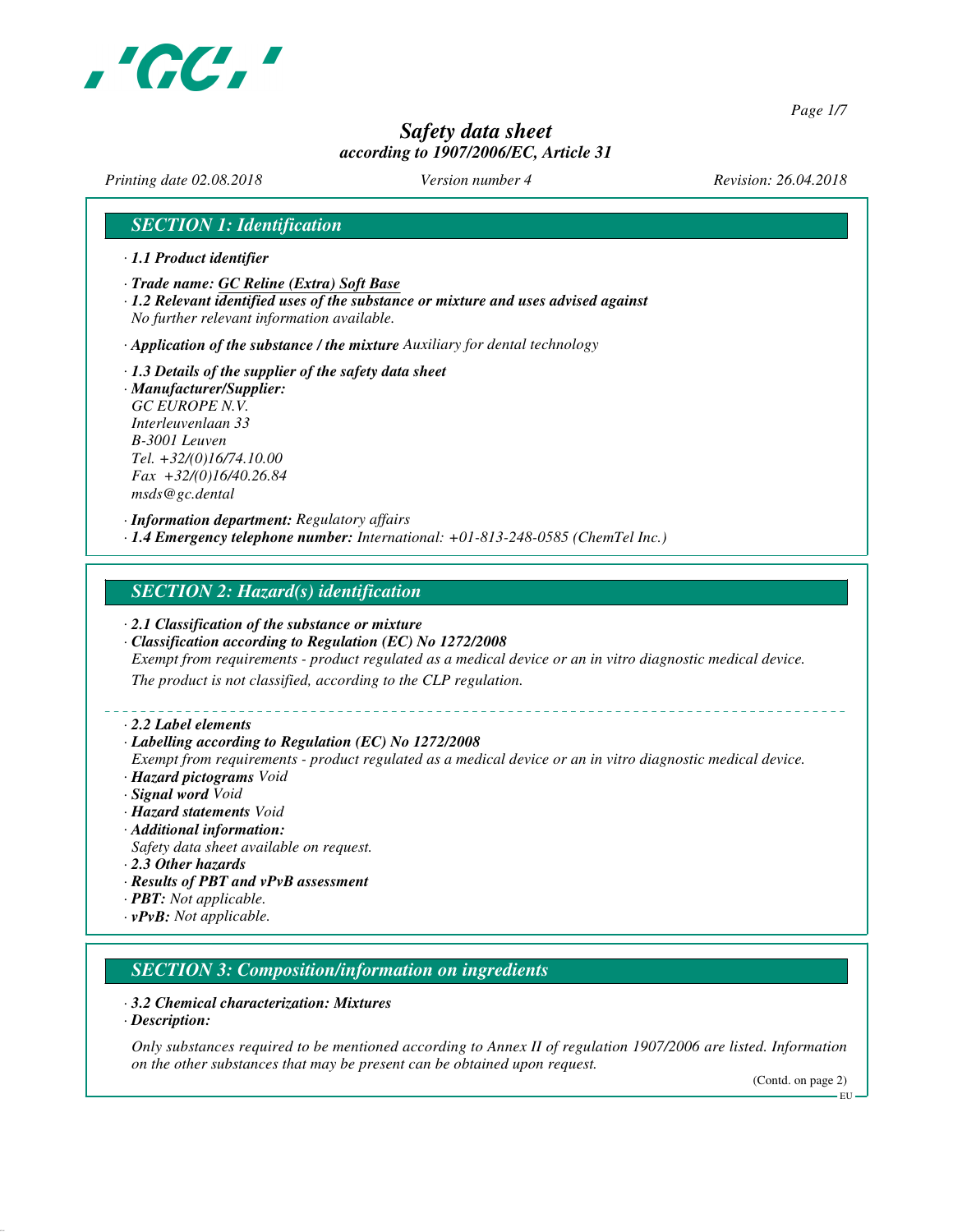

*Page 1/7*

# *Safety data sheet according to 1907/2006/EC, Article 31*

*Printing date 02.08.2018 Version number 4 Revision: 26.04.2018*

## *SECTION 1: Identification*

- *· 1.1 Product identifier*
- *· Trade name: GC Reline (Extra) Soft Base*
- *· 1.2 Relevant identified uses of the substance or mixture and uses advised against No further relevant information available.*
- *· Application of the substance / the mixture Auxiliary for dental technology*
- *· 1.3 Details of the supplier of the safety data sheet · Manufacturer/Supplier: GC EUROPE N.V. Interleuvenlaan 33 B-3001 Leuven Tel. +32/(0)16/74.10.00 Fax +32/(0)16/40.26.84 msds@gc.dental*

*· Information department: Regulatory affairs · 1.4 Emergency telephone number: International: +01-813-248-0585 (ChemTel Inc.)*

### *SECTION 2: Hazard(s) identification*

- *· 2.1 Classification of the substance or mixture*
- *· Classification according to Regulation (EC) No 1272/2008*
- *Exempt from requirements product regulated as a medical device or an in vitro diagnostic medical device.*

*The product is not classified, according to the CLP regulation.*

*· 2.2 Label elements*

#### *· Labelling according to Regulation (EC) No 1272/2008*

- *Exempt from requirements product regulated as a medical device or an in vitro diagnostic medical device. · Hazard pictograms Void*
- *· Signal word Void*
- *· Hazard statements Void*
- *· Additional information:*
- *Safety data sheet available on request.*
- *· 2.3 Other hazards*
- *· Results of PBT and vPvB assessment*
- *· PBT: Not applicable.*
- *· vPvB: Not applicable.*

### *SECTION 3: Composition/information on ingredients*

#### *· 3.2 Chemical characterization: Mixtures*

*· Description:*

*Only substances required to be mentioned according to Annex II of regulation 1907/2006 are listed. Information on the other substances that may be present can be obtained upon request.*

(Contd. on page 2)

EU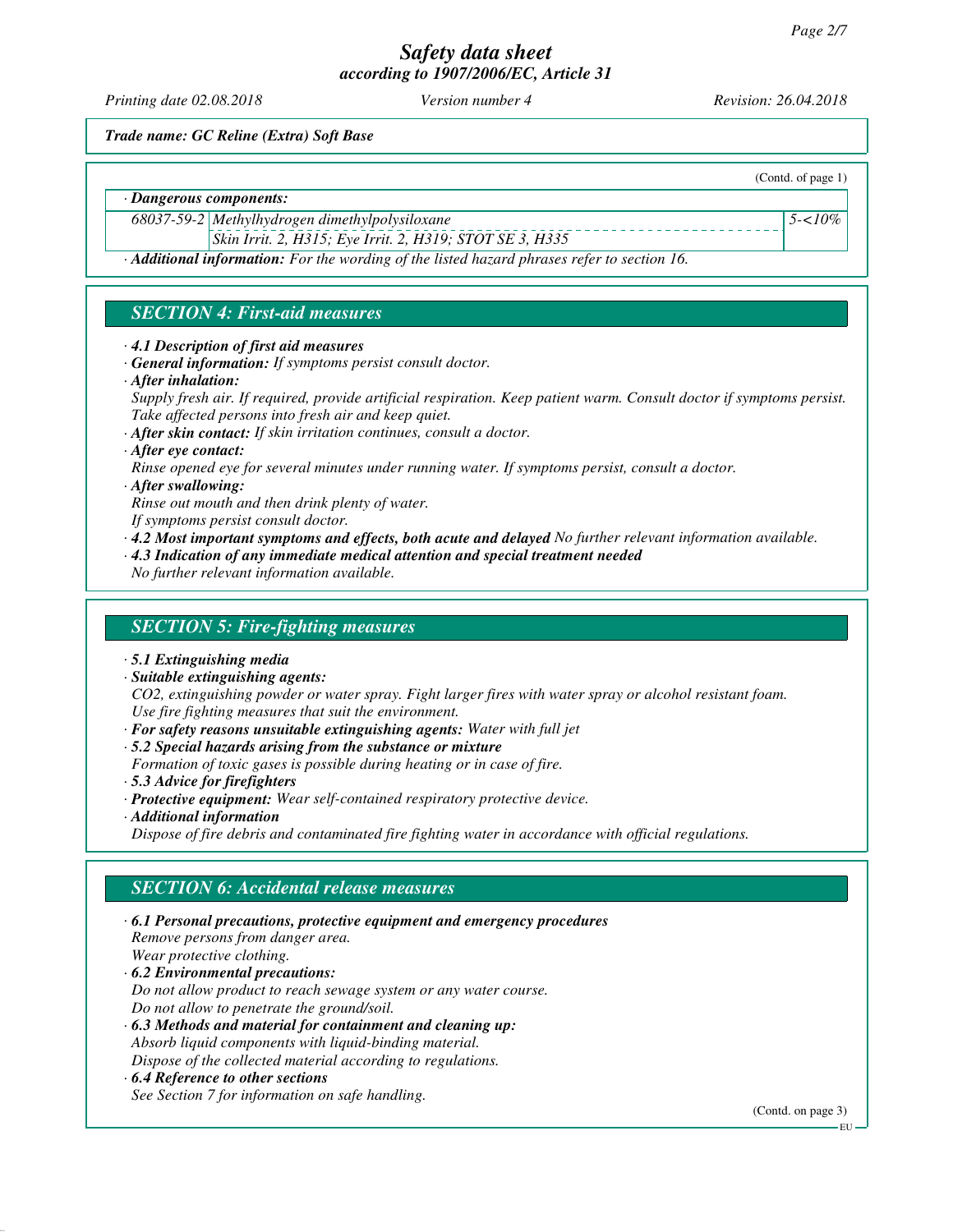*Printing date 02.08.2018 Version number 4 Revision: 26.04.2018*

(Contd. of page 1)

*5-<10%*

*Trade name: GC Reline (Extra) Soft Base*

*· Dangerous components:*

*68037-59-2 Methylhydrogen dimethylpolysiloxane*

*Skin Irrit. 2, H315; Eye Irrit. 2, H319; STOT SE 3, H335*

*· Additional information: For the wording of the listed hazard phrases refer to section 16.*

# *SECTION 4: First-aid measures*

- *· 4.1 Description of first aid measures*
- *· General information: If symptoms persist consult doctor.*
- *· After inhalation:*

*Supply fresh air. If required, provide artificial respiration. Keep patient warm. Consult doctor if symptoms persist. Take affected persons into fresh air and keep quiet.*

- *· After skin contact: If skin irritation continues, consult a doctor.*
- *· After eye contact:*
- *Rinse opened eye for several minutes under running water. If symptoms persist, consult a doctor.*
- *· After swallowing:*

*Rinse out mouth and then drink plenty of water.*

- *If symptoms persist consult doctor.*
- *· 4.2 Most important symptoms and effects, both acute and delayed No further relevant information available.*
- *· 4.3 Indication of any immediate medical attention and special treatment needed*

*No further relevant information available.*

## *SECTION 5: Fire-fighting measures*

- *· 5.1 Extinguishing media*
- *· Suitable extinguishing agents:*

*CO2, extinguishing powder or water spray. Fight larger fires with water spray or alcohol resistant foam. Use fire fighting measures that suit the environment.*

- *· For safety reasons unsuitable extinguishing agents: Water with full jet*
- *· 5.2 Special hazards arising from the substance or mixture*
- *Formation of toxic gases is possible during heating or in case of fire.*
- *· 5.3 Advice for firefighters*
- *· Protective equipment: Wear self-contained respiratory protective device.*
- *· Additional information*

*Dispose of fire debris and contaminated fire fighting water in accordance with official regulations.*

## *SECTION 6: Accidental release measures*

*· 6.1 Personal precautions, protective equipment and emergency procedures Remove persons from danger area. Wear protective clothing. · 6.2 Environmental precautions: Do not allow product to reach sewage system or any water course. Do not allow to penetrate the ground/soil. · 6.3 Methods and material for containment and cleaning up: Absorb liquid components with liquid-binding material. Dispose of the collected material according to regulations. · 6.4 Reference to other sections See Section 7 for information on safe handling.*

(Contd. on page 3)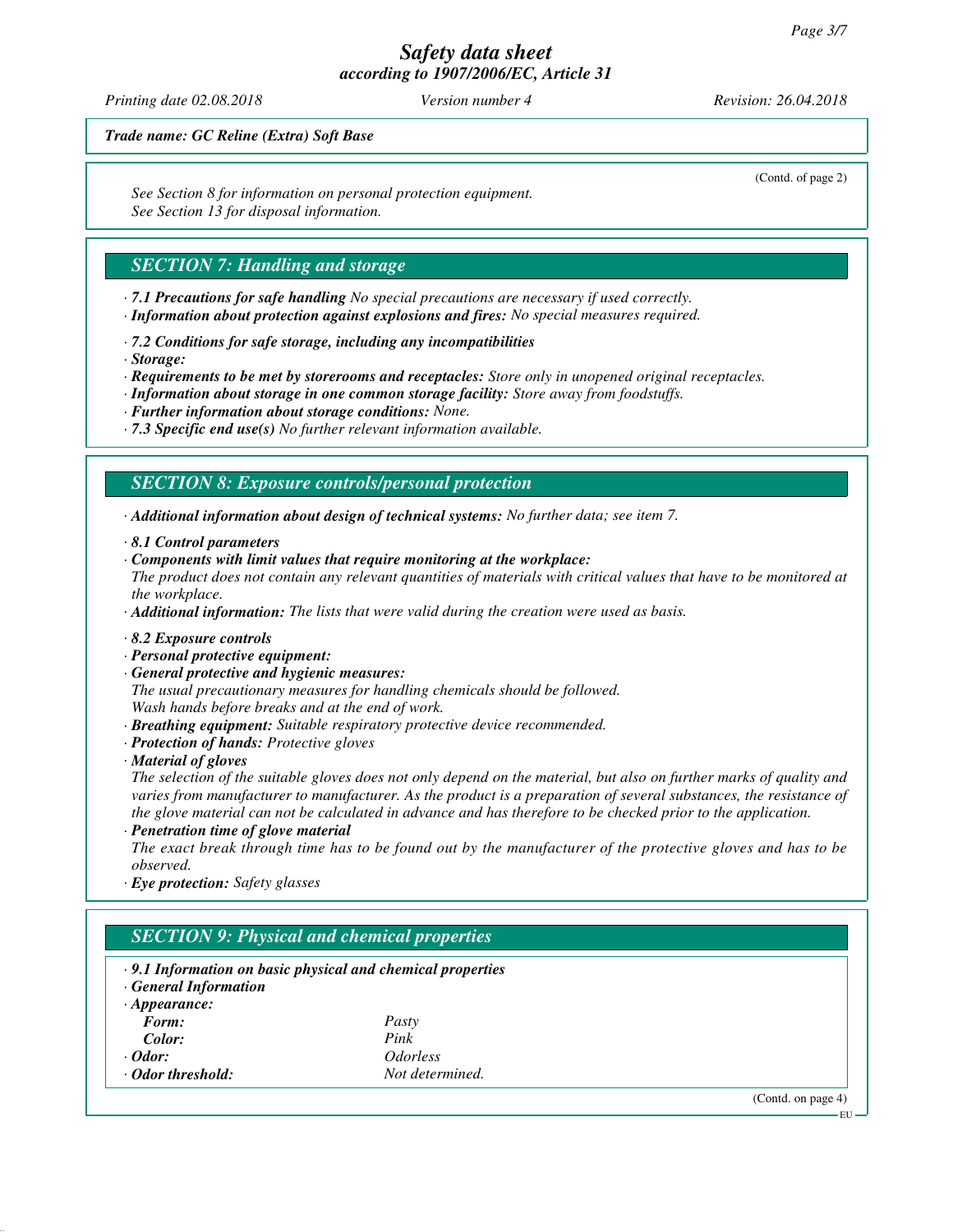*Printing date 02.08.2018 Version number 4 Revision: 26.04.2018*

(Contd. of page 2)

*Trade name: GC Reline (Extra) Soft Base*

*See Section 8 for information on personal protection equipment. See Section 13 for disposal information.*

## *SECTION 7: Handling and storage*

- *· 7.1 Precautions for safe handling No special precautions are necessary if used correctly.*
- *· Information about protection against explosions and fires: No special measures required.*
- *· 7.2 Conditions for safe storage, including any incompatibilities*
- *· Storage:*
- *· Requirements to be met by storerooms and receptacles: Store only in unopened original receptacles.*
- *· Information about storage in one common storage facility: Store away from foodstuffs.*
- *· Further information about storage conditions: None.*
- *· 7.3 Specific end use(s) No further relevant information available.*

## *SECTION 8: Exposure controls/personal protection*

*· Additional information about design of technical systems: No further data; see item 7.*

- *· 8.1 Control parameters*
- *· Components with limit values that require monitoring at the workplace:*
- *The product does not contain any relevant quantities of materials with critical values that have to be monitored at the workplace.*

*· Additional information: The lists that were valid during the creation were used as basis.*

- *· 8.2 Exposure controls*
- *· Personal protective equipment:*
- *· General protective and hygienic measures:*

*The usual precautionary measures for handling chemicals should be followed. Wash hands before breaks and at the end of work.*

- *· Breathing equipment: Suitable respiratory protective device recommended.*
- *· Protection of hands: Protective gloves*
- *· Material of gloves*

*The selection of the suitable gloves does not only depend on the material, but also on further marks of quality and varies from manufacturer to manufacturer. As the product is a preparation of several substances, the resistance of the glove material can not be calculated in advance and has therefore to be checked prior to the application.*

*· Penetration time of glove material*

*The exact break through time has to be found out by the manufacturer of the protective gloves and has to be observed.*

*· Eye protection: Safety glasses*

| $\cdot$ 9.1 Information on basic physical and chemical properties<br><b>General Information</b> |                               |  |  |
|-------------------------------------------------------------------------------------------------|-------------------------------|--|--|
| $\cdot$ Appearance:                                                                             |                               |  |  |
| Form:                                                                                           | Pasty                         |  |  |
| Color:                                                                                          | Pink                          |  |  |
| $\cdot$ Odor:                                                                                   | <i><u><b>Odorless</b></u></i> |  |  |
| Odor threshold:                                                                                 | Not determined.               |  |  |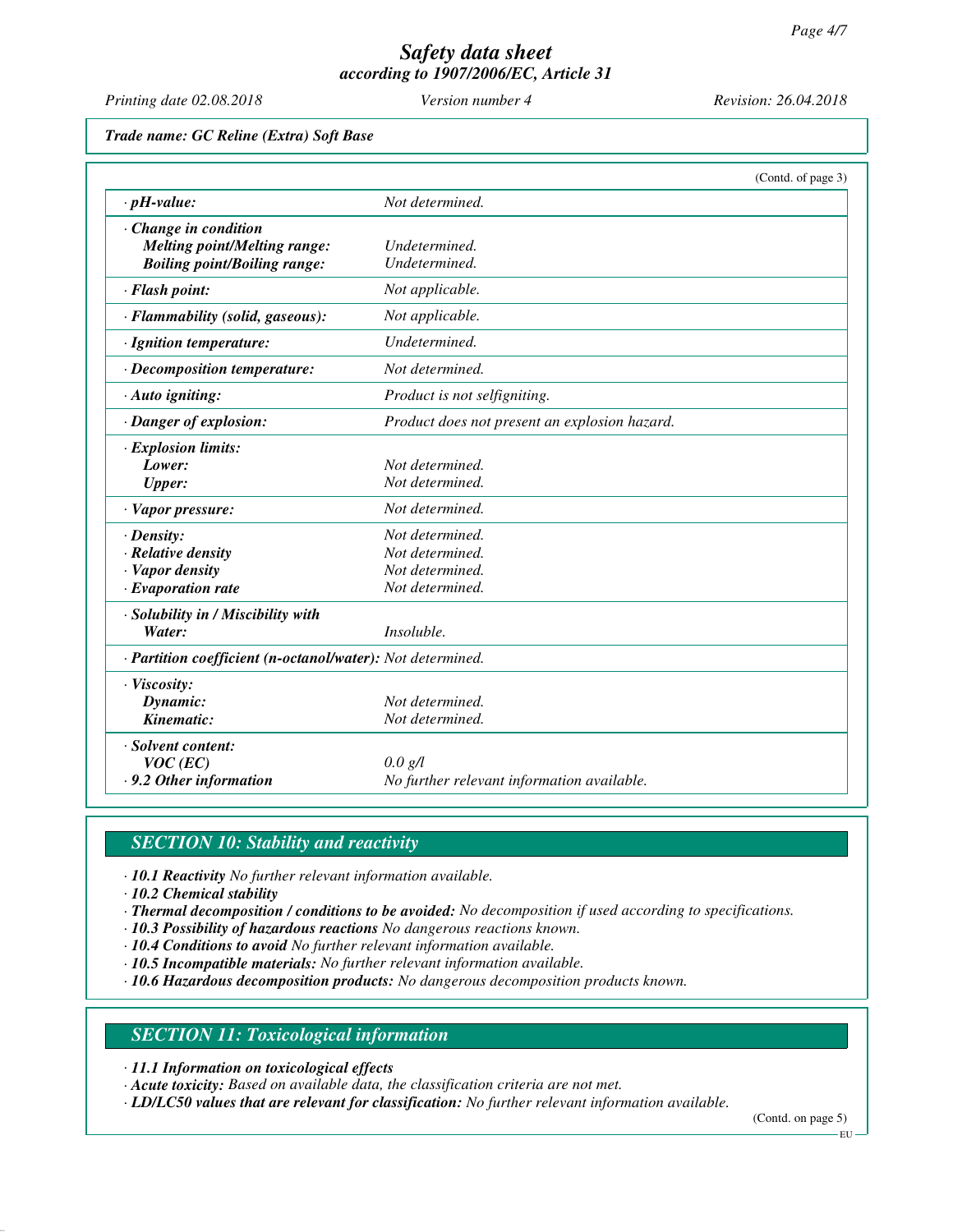*Printing date 02.08.2018 Version number 4 Revision: 26.04.2018*

*Trade name: GC Reline (Extra) Soft Base*

|                                                            |                                               | (Contd. of page 3) |
|------------------------------------------------------------|-----------------------------------------------|--------------------|
| $\cdot$ pH-value:                                          | Not determined.                               |                    |
| Change in condition                                        |                                               |                    |
| <b>Melting point/Melting range:</b>                        | Undetermined.                                 |                    |
| <b>Boiling point/Boiling range:</b>                        | Undetermined.                                 |                    |
| · Flash point:                                             | Not applicable.                               |                    |
| · Flammability (solid, gaseous):                           | Not applicable.                               |                    |
| · Ignition temperature:                                    | Undetermined.                                 |                    |
| $\cdot$ Decomposition temperature:                         | Not determined.                               |                    |
| · Auto igniting:                                           | Product is not selfigniting.                  |                    |
| · Danger of explosion:                                     | Product does not present an explosion hazard. |                    |
| · Explosion limits:                                        |                                               |                    |
| Lower:                                                     | Not determined.                               |                    |
| <b>Upper:</b>                                              | Not determined.                               |                    |
| · Vapor pressure:                                          | Not determined.                               |                    |
| $\cdot$ Density:                                           | Not determined.                               |                    |
| · Relative density                                         | Not determined.                               |                    |
| · Vapor density                                            | Not determined.                               |                    |
| $\cdot$ Evaporation rate                                   | Not determined.                               |                    |
| · Solubility in / Miscibility with                         |                                               |                    |
| Water:                                                     | <i>Insoluble.</i>                             |                    |
| · Partition coefficient (n-octanol/water): Not determined. |                                               |                    |
| · Viscosity:                                               |                                               |                    |
| Dynamic:                                                   | Not determined.                               |                    |
| Kinematic:                                                 | Not determined.                               |                    |
| · Solvent content:                                         |                                               |                    |
| $VOC$ (EC)                                                 | $0.0 \text{ g/l}$                             |                    |
| .9.2 Other information                                     | No further relevant information available.    |                    |

# *SECTION 10: Stability and reactivity*

*· 10.1 Reactivity No further relevant information available.*

*· 10.2 Chemical stability*

- *· Thermal decomposition / conditions to be avoided: No decomposition if used according to specifications.*
- *· 10.3 Possibility of hazardous reactions No dangerous reactions known.*
- *· 10.4 Conditions to avoid No further relevant information available.*
- *· 10.5 Incompatible materials: No further relevant information available.*
- *· 10.6 Hazardous decomposition products: No dangerous decomposition products known.*

### *SECTION 11: Toxicological information*

*· 11.1 Information on toxicological effects*

*· Acute toxicity: Based on available data, the classification criteria are not met.*

*· LD/LC50 values that are relevant for classification: No further relevant information available.*

(Contd. on page 5)

EU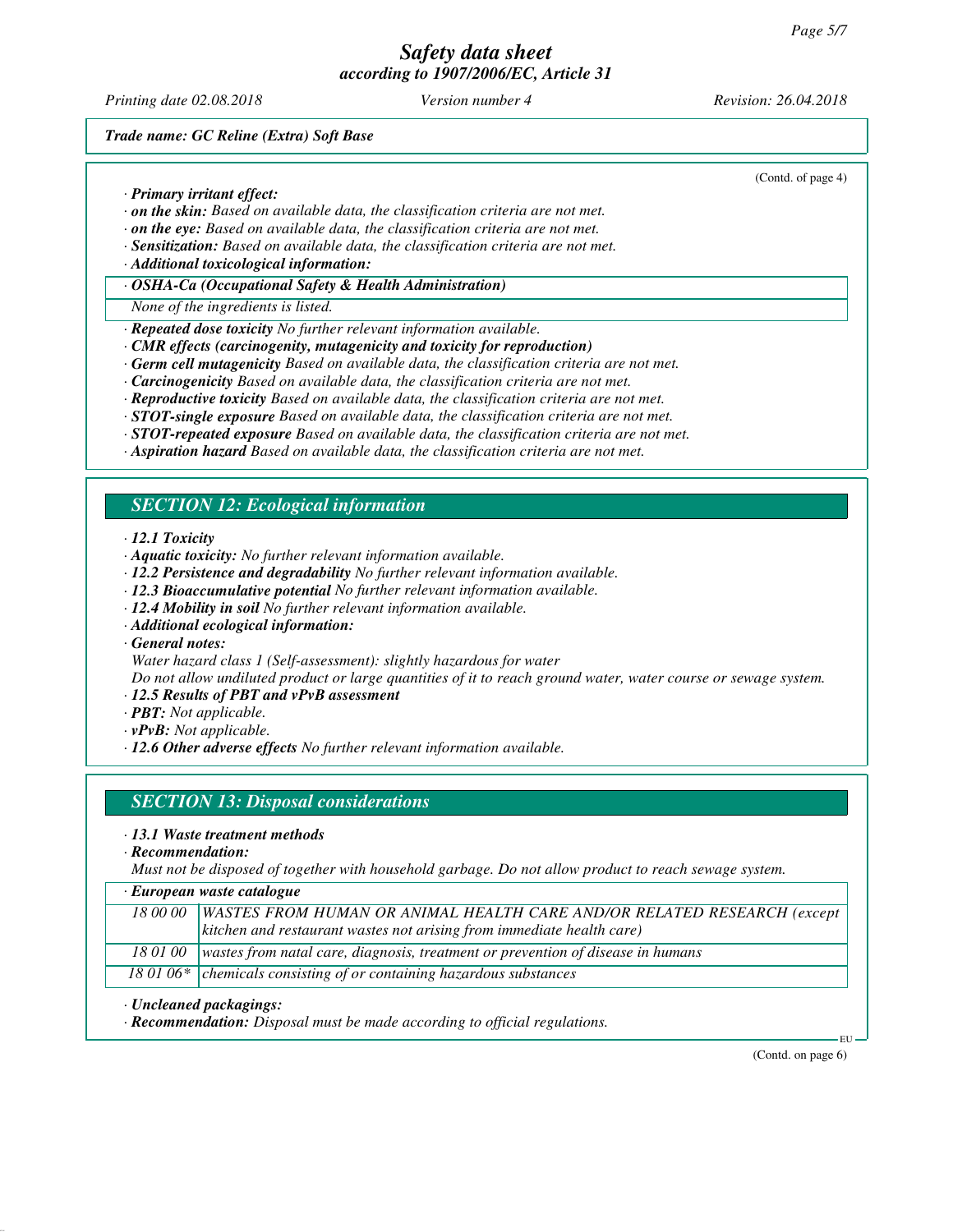*Printing date 02.08.2018 Version number 4 Revision: 26.04.2018*

(Contd. of page 4)

*Trade name: GC Reline (Extra) Soft Base*

*· Primary irritant effect:*

- *· on the skin: Based on available data, the classification criteria are not met.*
- *· on the eye: Based on available data, the classification criteria are not met.*
- *· Sensitization: Based on available data, the classification criteria are not met.*
- *· Additional toxicological information:*

### *· OSHA-Ca (Occupational Safety & Health Administration)*

*None of the ingredients is listed.*

- *· Repeated dose toxicity No further relevant information available.*
- *· CMR effects (carcinogenity, mutagenicity and toxicity for reproduction)*
- *· Germ cell mutagenicity Based on available data, the classification criteria are not met.*
- *· Carcinogenicity Based on available data, the classification criteria are not met.*
- *· Reproductive toxicity Based on available data, the classification criteria are not met.*
- *· STOT-single exposure Based on available data, the classification criteria are not met.*
- *· STOT-repeated exposure Based on available data, the classification criteria are not met.*
- *· Aspiration hazard Based on available data, the classification criteria are not met.*

# *SECTION 12: Ecological information*

*· 12.1 Toxicity*

- *· Aquatic toxicity: No further relevant information available.*
- *· 12.2 Persistence and degradability No further relevant information available.*
- *· 12.3 Bioaccumulative potential No further relevant information available.*
- *· 12.4 Mobility in soil No further relevant information available.*
- *· Additional ecological information:*
- *· General notes:*
- *Water hazard class 1 (Self-assessment): slightly hazardous for water*

*Do not allow undiluted product or large quantities of it to reach ground water, water course or sewage system.*

- *· 12.5 Results of PBT and vPvB assessment*
- *· PBT: Not applicable.*
- *· vPvB: Not applicable.*
- *· 12.6 Other adverse effects No further relevant information available.*

## *SECTION 13: Disposal considerations*

#### *· 13.1 Waste treatment methods*

*· Recommendation:*

*Must not be disposed of together with household garbage. Do not allow product to reach sewage system.*

| · European waste catalogue |
|----------------------------|
|----------------------------|

| 18 00 00   WASTES FROM HUMAN OR ANIMAL HEALTH CARE AND/OR RELATED RESEARCH (except       |
|------------------------------------------------------------------------------------------|
| $\vert$ kitchen and restaurant wastes not arising from immediate health care)            |
| $180100$ wastes from natal care, diagnosis, treatment or prevention of disease in humans |

18 01 06\* chemicals consisting of or containing hazardous substances

*· Uncleaned packagings:*

*· Recommendation: Disposal must be made according to official regulations.*

(Contd. on page 6)

EU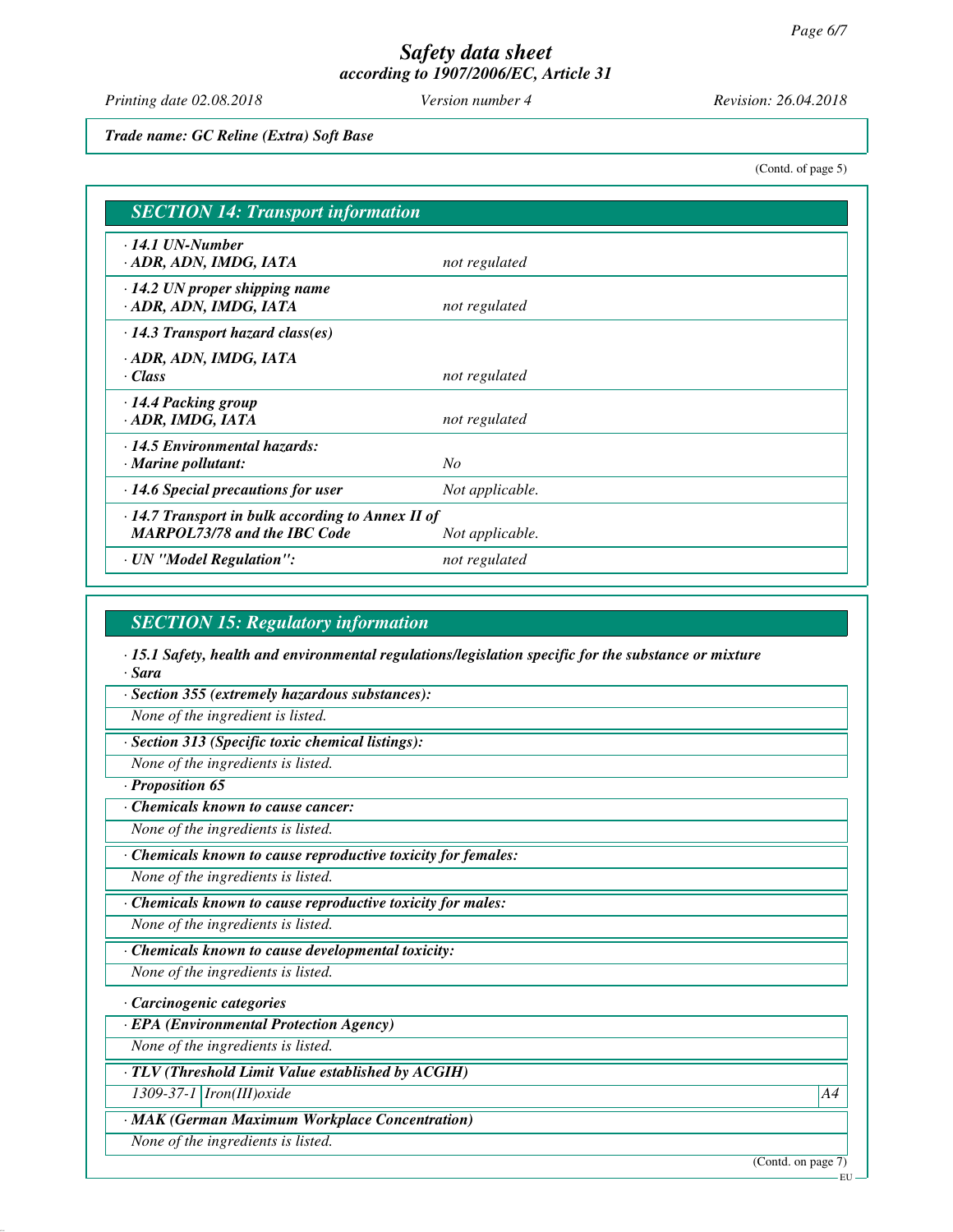*Printing date 02.08.2018 Version number 4 Revision: 26.04.2018*

*Trade name: GC Reline (Extra) Soft Base*

(Contd. of page 5)

| <b>SECTION 14: Transport information</b>                                                       |                 |  |
|------------------------------------------------------------------------------------------------|-----------------|--|
| $\cdot$ 14.1 UN-Number<br>ADR, ADN, IMDG, IATA                                                 | not regulated   |  |
| $\cdot$ 14.2 UN proper shipping name<br>· ADR, ADN, IMDG, IATA                                 | not regulated   |  |
| $\cdot$ 14.3 Transport hazard class(es)                                                        |                 |  |
| · ADR, ADN, IMDG, IATA<br>· Class                                                              | not regulated   |  |
| $\cdot$ 14.4 Packing group<br>· ADR, IMDG, IATA                                                | not regulated   |  |
| $\cdot$ 14.5 Environmental hazards:<br>$\cdot$ Marine pollutant:                               | No              |  |
| $\cdot$ 14.6 Special precautions for user                                                      | Not applicable. |  |
| $\cdot$ 14.7 Transport in bulk according to Annex II of<br><b>MARPOL73/78 and the IBC Code</b> | Not applicable. |  |
| · UN "Model Regulation":                                                                       | not regulated   |  |

### *SECTION 15: Regulatory information*

*· 15.1 Safety, health and environmental regulations/legislation specific for the substance or mixture · Sara*

*· Section 355 (extremely hazardous substances):*

*None of the ingredient is listed.*

*· Section 313 (Specific toxic chemical listings):*

*None of the ingredients is listed.*

*· Proposition 65*

*· Chemicals known to cause cancer:*

*None of the ingredients is listed.*

*· Chemicals known to cause reproductive toxicity for females:*

*None of the ingredients is listed.*

*· Chemicals known to cause reproductive toxicity for males:*

*None of the ingredients is listed.*

*· Chemicals known to cause developmental toxicity:*

*None of the ingredients is listed.*

*· Carcinogenic categories*

*· EPA (Environmental Protection Agency)*

*None of the ingredients is listed.*

*· TLV (Threshold Limit Value established by ACGIH)*

*1309-37-1 Iron(III)oxide A4*

*· MAK (German Maximum Workplace Concentration)*

*None of the ingredients is listed.*

(Contd. on page 7)

EU